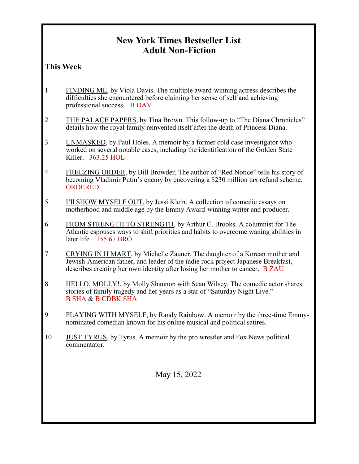## **New York Times Bestseller List Adult Non-Fiction**

## **This Week**

- 1 FINDING ME, by Viola Davis. The multiple award-winning actress describes the difficulties she encountered before claiming her sense of self and achieving professional success. B DAV
- 2 THE PALACE PAPERS, by Tina Brown. This follow-up to "The Diana Chronicles" details how the royal family reinvented itself after the death of Princess Diana.
- 3 UNMASKED, by Paul Holes. A memoir by a former cold case investigator who worked on several notable cases, including the identification of the Golden State Killer. 363.25 HOL
- 4 FREEZING ORDER, by Bill Browder. The author of "Red Notice" tells his story of becoming Vladimir Putin's enemy by encovering a \$230 million tax refund scheme. ORDERED
- 5 I'll SHOW MYSELF OUT, by Jessi Klein. A collection of comedic essays on motherhood and middle age by the Emmy Award-winning writer and producer.
- 6 FROM STRENGTH TO STRENGTH, by Arthur C. Brooks. A columnist for The Atlantic espouses ways to shift priorities and habits to overcome waning abilities in later life. 155.67 BRO
- 7 CRYING IN H MART, by Michelle Zauner. The daughter of a Korean mother and Jewish-American father, and leader of the indie rock project Japanese Breakfast, describes creating her own identity after losing her mother to cancer. B ZAU
- 8 HELLO, MOLLY!, by Molly Shannon with Sean Wilsey. The comedic actor shares stories of family tragedy and her years as a star of "Saturday Night Live." B SHA & B CDBK SHA
- 9 PLAYING WITH MYSELF, by Randy Rainbow. A memoir by the three-time Emmynominated comedian known for his online musical and political satires.
- 10 JUST TYRUS, by Tyrus. A memoir by the pro wrestler and Fox News political commentator.

May 15, 2022